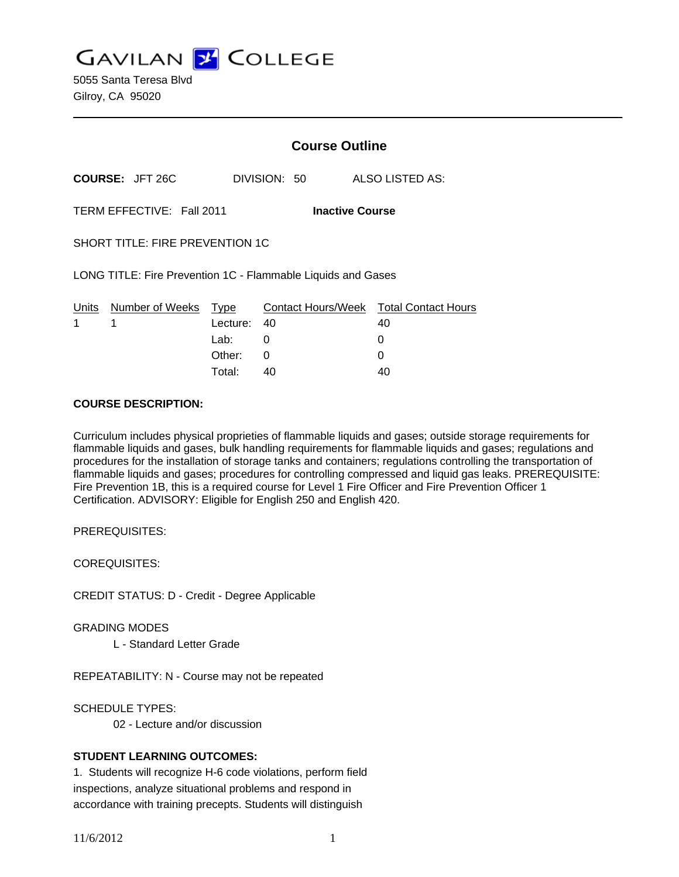**GAVILAN Z COLLEGE** 

5055 Santa Teresa Blvd Gilroy, CA 95020

|                                                              |                           | <b>Course Outline</b> |              |                                              |
|--------------------------------------------------------------|---------------------------|-----------------------|--------------|----------------------------------------------|
| <b>COURSE: JFT 26C</b>                                       |                           |                       | DIVISION: 50 | ALSO LISTED AS:                              |
| TERM EFFECTIVE: Fall 2011<br><b>Inactive Course</b>          |                           |                       |              |                                              |
| <b>SHORT TITLE: FIRE PREVENTION 1C</b>                       |                           |                       |              |                                              |
| LONG TITLE: Fire Prevention 1C - Flammable Liquids and Gases |                           |                       |              |                                              |
| Units<br>1                                                   | Number of Weeks Type<br>1 | Lecture:              | -40          | Contact Hours/Week Total Contact Hours<br>40 |
|                                                              |                           | Lab: __               | 0            | 0                                            |
|                                                              |                           | Other:                | 0            | 0                                            |
|                                                              |                           | Total:                | 40           | 40                                           |

#### **COURSE DESCRIPTION:**

Curriculum includes physical proprieties of flammable liquids and gases; outside storage requirements for flammable liquids and gases, bulk handling requirements for flammable liquids and gases; regulations and procedures for the installation of storage tanks and containers; regulations controlling the transportation of flammable liquids and gases; procedures for controlling compressed and liquid gas leaks. PREREQUISITE: Fire Prevention 1B, this is a required course for Level 1 Fire Officer and Fire Prevention Officer 1 Certification. ADVISORY: Eligible for English 250 and English 420.

PREREQUISITES:

COREQUISITES:

CREDIT STATUS: D - Credit - Degree Applicable

GRADING MODES

L - Standard Letter Grade

REPEATABILITY: N - Course may not be repeated

SCHEDULE TYPES:

02 - Lecture and/or discussion

## **STUDENT LEARNING OUTCOMES:**

1. Students will recognize H-6 code violations, perform field inspections, analyze situational problems and respond in accordance with training precepts. Students will distinguish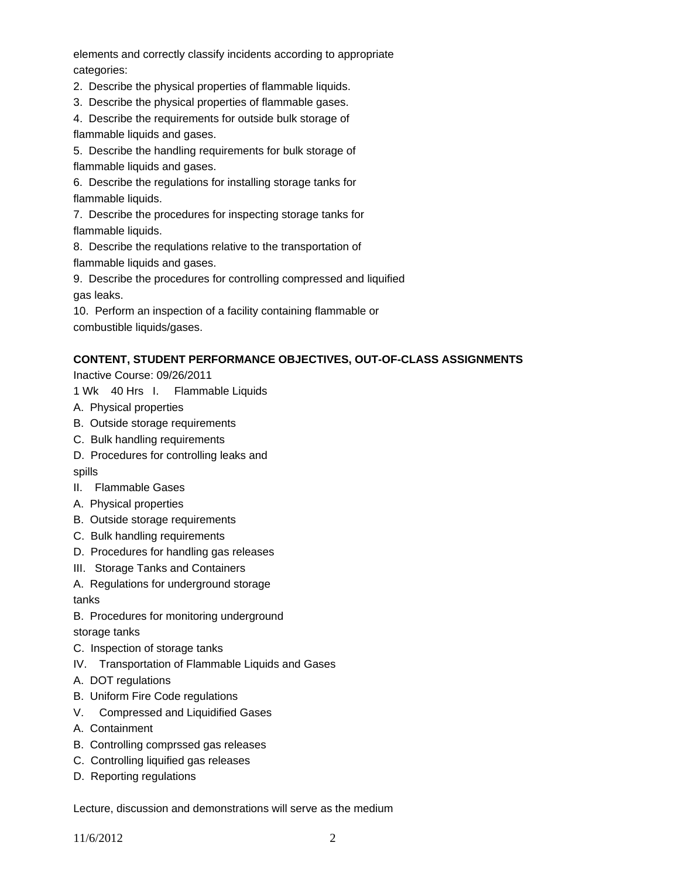elements and correctly classify incidents according to appropriate categories:

2. Describe the physical properties of flammable liquids.

3. Describe the physical properties of flammable gases.

4. Describe the requirements for outside bulk storage of flammable liquids and gases.

5. Describe the handling requirements for bulk storage of flammable liquids and gases.

6. Describe the regulations for installing storage tanks for flammable liquids.

7. Describe the procedures for inspecting storage tanks for flammable liquids.

8. Describe the requlations relative to the transportation of flammable liquids and gases.

9. Describe the procedures for controlling compressed and liquified gas leaks.

10. Perform an inspection of a facility containing flammable or combustible liquids/gases.

# **CONTENT, STUDENT PERFORMANCE OBJECTIVES, OUT-OF-CLASS ASSIGNMENTS**

Inactive Course: 09/26/2011

1 Wk 40 Hrs I. Flammable Liquids

- A. Physical properties
- B. Outside storage requirements
- C. Bulk handling requirements
- D. Procedures for controlling leaks and

spills

- II. Flammable Gases
- A. Physical properties
- B. Outside storage requirements
- C. Bulk handling requirements
- D. Procedures for handling gas releases
- III. Storage Tanks and Containers
- A. Regulations for underground storage

tanks

B. Procedures for monitoring underground

storage tanks

- C. Inspection of storage tanks
- IV. Transportation of Flammable Liquids and Gases
- A. DOT regulations
- B. Uniform Fire Code regulations
- V. Compressed and Liquidified Gases
- A. Containment
- B. Controlling comprssed gas releases
- C. Controlling liquified gas releases
- D. Reporting regulations

Lecture, discussion and demonstrations will serve as the medium

11/6/2012 2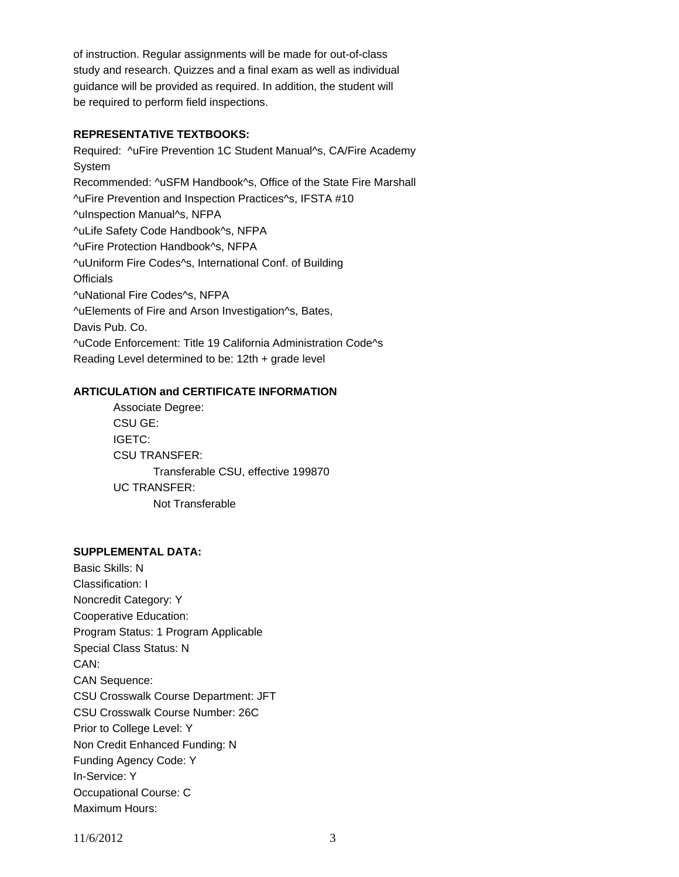of instruction. Regular assignments will be made for out-of-class study and research. Quizzes and a final exam as well as individual guidance will be provided as required. In addition, the student will be required to perform field inspections.

### **REPRESENTATIVE TEXTBOOKS:**

Required: ^uFire Prevention 1C Student Manual^s, CA/Fire Academy System Recommended: ^uSFM Handbook^s, Office of the State Fire Marshall ^uFire Prevention and Inspection Practices^s, IFSTA #10 ^uInspection Manual^s, NFPA ^uLife Safety Code Handbook^s, NFPA ^uFire Protection Handbook^s, NFPA ^uUniform Fire Codes^s, International Conf. of Building **Officials** ^uNational Fire Codes^s, NFPA ^uElements of Fire and Arson Investigation^s, Bates, Davis Pub. Co. ^uCode Enforcement: Title 19 California Administration Code^s Reading Level determined to be: 12th + grade level

#### **ARTICULATION and CERTIFICATE INFORMATION**

 Transferable CSU, effective 199870 UC TRANSFER: Not Transferable Associate Degree: CSU GE: IGETC: CSU TRANSFER:

# **SUPPLEMENTAL DATA:**

Basic Skills: N Classification: I Noncredit Category: Y Cooperative Education: Program Status: 1 Program Applicable Special Class Status: N CAN: CAN Sequence: CSU Crosswalk Course Department: JFT CSU Crosswalk Course Number: 26C Prior to College Level: Y Non Credit Enhanced Funding: N Funding Agency Code: Y In-Service: Y Occupational Course: C Maximum Hours: